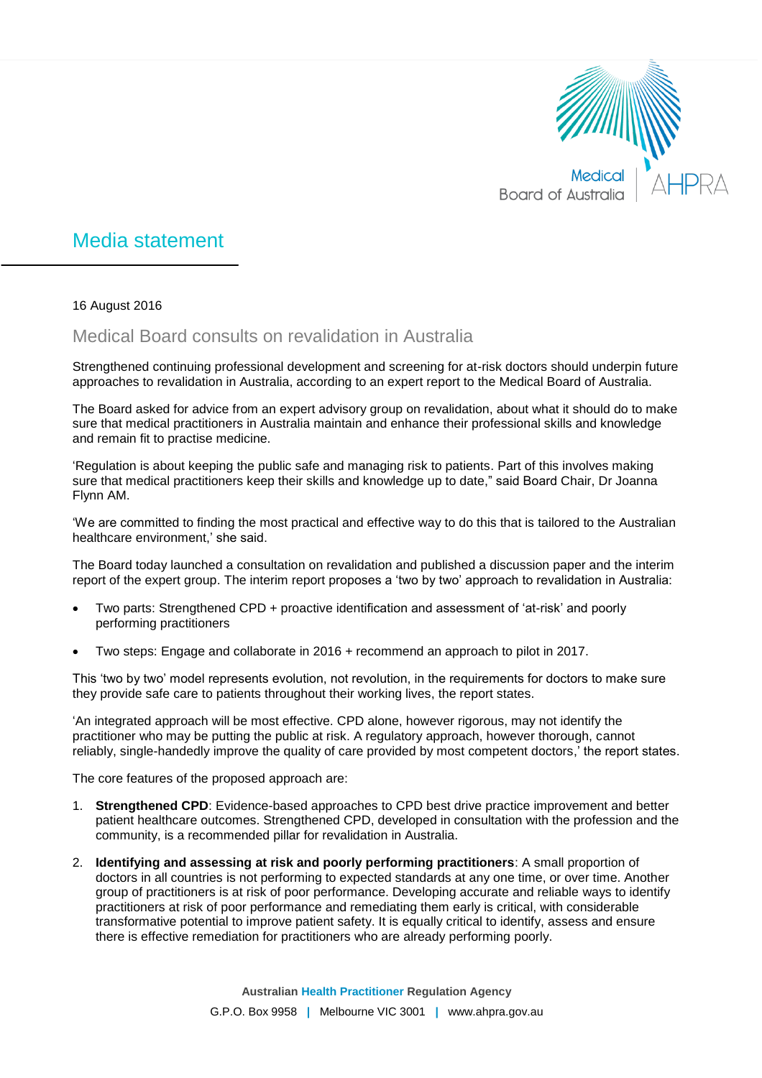

## Media statement

16 August 2016

## Medical Board consults on revalidation in Australia

Strengthened continuing professional development and screening for at-risk doctors should underpin future approaches to revalidation in Australia, according to an expert report to the Medical Board of Australia.

The Board asked for advice from an expert advisory group on revalidation, about what it should do to make sure that medical practitioners in Australia maintain and enhance their professional skills and knowledge and remain fit to practise medicine.

'Regulation is about keeping the public safe and managing risk to patients. Part of this involves making sure that medical practitioners keep their skills and knowledge up to date," said Board Chair, Dr Joanna Flynn AM.

'We are committed to finding the most practical and effective way to do this that is tailored to the Australian healthcare environment,' she said.

The Board today launched a consultation on revalidation and published a discussion paper and the interim report of the expert group. The interim report proposes a 'two by two' approach to revalidation in Australia:

- Two parts: Strengthened CPD + proactive identification and assessment of 'at-risk' and poorly performing practitioners
- Two steps: Engage and collaborate in 2016 + recommend an approach to pilot in 2017.

This 'two by two' model represents evolution, not revolution, in the requirements for doctors to make sure they provide safe care to patients throughout their working lives, the report states.

'An integrated approach will be most effective. CPD alone, however rigorous, may not identify the practitioner who may be putting the public at risk. A regulatory approach, however thorough, cannot reliably, single-handedly improve the quality of care provided by most competent doctors,' the report states.

The core features of the proposed approach are:

- 1. **Strengthened CPD**: Evidence-based approaches to CPD best drive practice improvement and better patient healthcare outcomes. Strengthened CPD, developed in consultation with the profession and the community, is a recommended pillar for revalidation in Australia.
- 2. **Identifying and assessing at risk and poorly performing practitioners**: A small proportion of doctors in all countries is not performing to expected standards at any one time, or over time. Another group of practitioners is at risk of poor performance. Developing accurate and reliable ways to identify practitioners at risk of poor performance and remediating them early is critical, with considerable transformative potential to improve patient safety. It is equally critical to identify, assess and ensure there is effective remediation for practitioners who are already performing poorly.